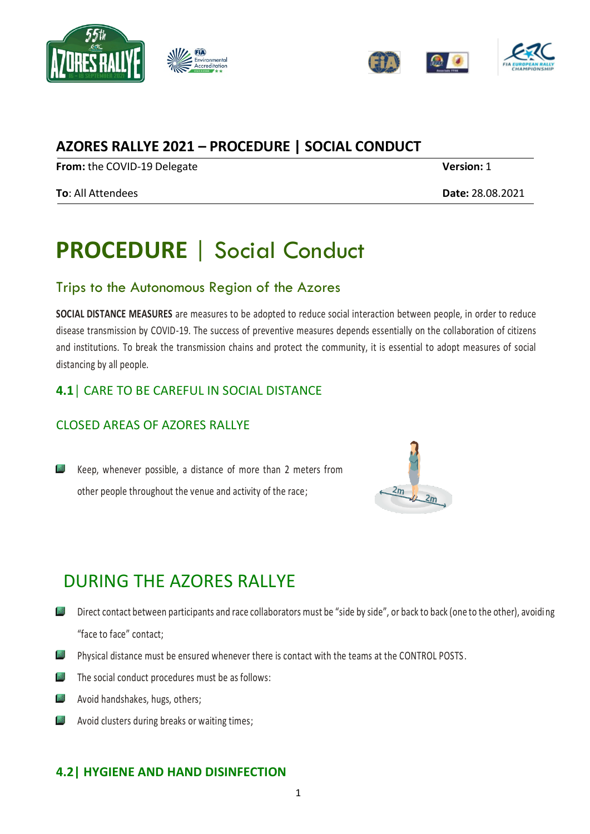





## **AZORES RALLYE 2021 – PROCEDURE | SOCIAL CONDUCT**

**From:** the COVID-19 Delegate **Version:** 1

#### **To**: All Attendees **Date:** 28.08.2021

# **PROCEDURE** | Social Conduct

### Trips to the Autonomous Region of the Azores

**SOCIAL DISTANCE MEASURES** are measures to be adopted to reduce social interaction between people, in order to reduce disease transmission by COVID-19. The success of preventive measures depends essentially on the collaboration of citizens and institutions. To break the transmission chains and protect the community, it is essential to adopt measures of social distancing by all people.

### **4.1│** CARE TO BE CAREFUL IN SOCIAL DISTANCE

### CLOSED AREAS OF AZORES RALLYE

Keep, whenever possible, a distance of more than 2 meters from other people throughout the venue and activity of the race;



# DURING THE AZORES RALLYE

- Direct contact between participants and race collaborators must be "side by side", or back to back (one to the other), avoidi ng "face to face" contact;
- $\frac{1}{2}$ Physical distance must be ensured whenever there is contact with the teams at the CONTROL POSTS.
- $\Box$  The social conduct procedures must be as follows:
- Avoid handshakes, hugs, others;
- **Avoid clusters during breaks or waiting times;**

### **4.2| HYGIENE AND HAND DISINFECTION**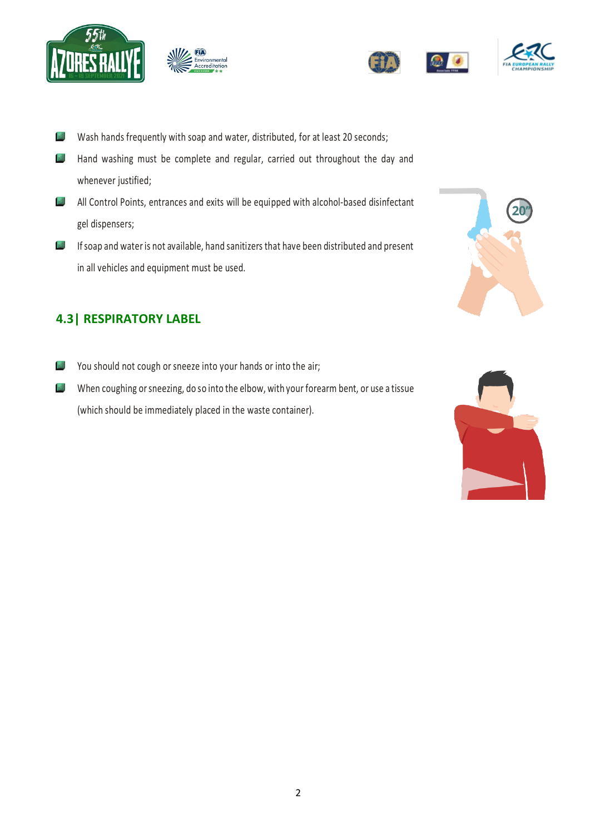





- $\frac{1}{2}$ Wash hands frequently with soap and water, distributed, for at least 20 seconds;
- $\frac{1}{2}$ Hand washing must be complete and regular, carried out throughout the day and whenever justified;
- All Control Points, entrances and exits will be equipped with alcohol-based disinfectant gel dispensers;
- If soap and water is not available, hand sanitizers that have been distributed and present in all vehicles and equipment must be used.

### **4.3| RESPIRATORY LABEL**

- You should not cough or sneeze into your hands or into the air;
- When coughing or sneezing, do so into the elbow, with your forearm bent, or use a tissue (which should be immediately placed in the waste container).